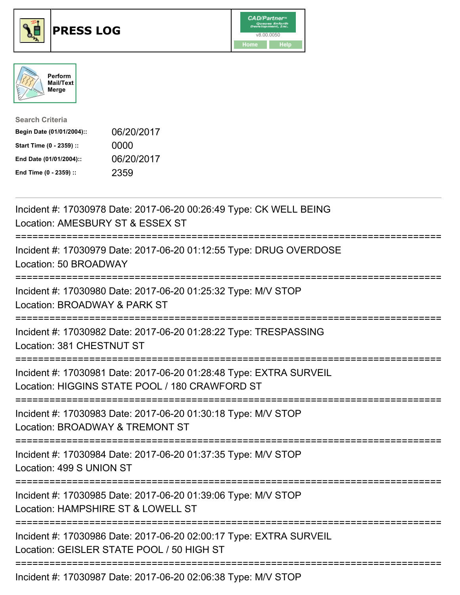





| <b>Search Criteria</b>    |            |
|---------------------------|------------|
| Begin Date (01/01/2004):: | 06/20/2017 |
| Start Time (0 - 2359) ::  | 0000       |
| End Date (01/01/2004)::   | 06/20/2017 |
| End Time (0 - 2359) ::    | 2359       |

| Incident #: 17030978 Date: 2017-06-20 00:26:49 Type: CK WELL BEING<br>Location: AMESBURY ST & ESSEX ST                                                 |
|--------------------------------------------------------------------------------------------------------------------------------------------------------|
| Incident #: 17030979 Date: 2017-06-20 01:12:55 Type: DRUG OVERDOSE<br>Location: 50 BROADWAY                                                            |
| Incident #: 17030980 Date: 2017-06-20 01:25:32 Type: M/V STOP<br>Location: BROADWAY & PARK ST<br>:==============                                       |
| Incident #: 17030982 Date: 2017-06-20 01:28:22 Type: TRESPASSING<br>Location: 381 CHESTNUT ST<br>===============                                       |
| Incident #: 17030981 Date: 2017-06-20 01:28:48 Type: EXTRA SURVEIL<br>Location: HIGGINS STATE POOL / 180 CRAWFORD ST<br>------------------------------ |
| Incident #: 17030983 Date: 2017-06-20 01:30:18 Type: M/V STOP<br>Location: BROADWAY & TREMONT ST<br>:=========================<br>------------         |
| Incident #: 17030984 Date: 2017-06-20 01:37:35 Type: M/V STOP<br>Location: 499 S UNION ST                                                              |
| Incident #: 17030985 Date: 2017-06-20 01:39:06 Type: M/V STOP<br>Location: HAMPSHIRE ST & LOWELL ST                                                    |
| Incident #: 17030986 Date: 2017-06-20 02:00:17 Type: EXTRA SURVEIL<br>Location: GEISLER STATE POOL / 50 HIGH ST                                        |
| ---------------------------------<br>Incident #: 17030987 Date: 2017-06-20 02:06:38 Type: M/V STOP                                                     |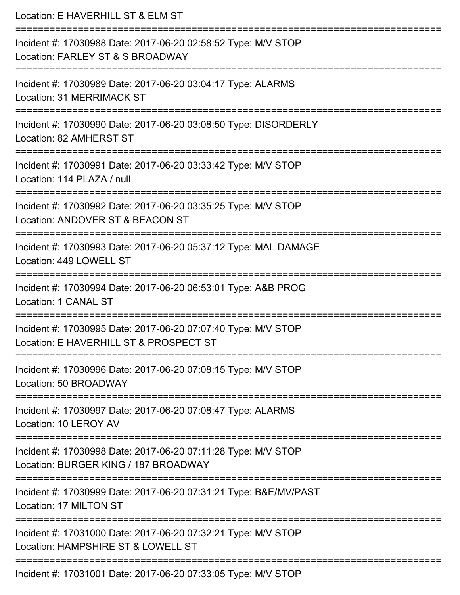| Location: E HAVERHILL ST & ELM ST                                                                                                       |
|-----------------------------------------------------------------------------------------------------------------------------------------|
| Incident #: 17030988 Date: 2017-06-20 02:58:52 Type: M/V STOP<br>Location: FARLEY ST & S BROADWAY                                       |
| Incident #: 17030989 Date: 2017-06-20 03:04:17 Type: ALARMS<br>Location: 31 MERRIMACK ST                                                |
| Incident #: 17030990 Date: 2017-06-20 03:08:50 Type: DISORDERLY<br>Location: 82 AMHERST ST                                              |
| Incident #: 17030991 Date: 2017-06-20 03:33:42 Type: M/V STOP<br>Location: 114 PLAZA / null                                             |
| Incident #: 17030992 Date: 2017-06-20 03:35:25 Type: M/V STOP<br>Location: ANDOVER ST & BEACON ST                                       |
| Incident #: 17030993 Date: 2017-06-20 05:37:12 Type: MAL DAMAGE<br>Location: 449 LOWELL ST                                              |
| :===================================<br>Incident #: 17030994 Date: 2017-06-20 06:53:01 Type: A&B PROG<br>Location: 1 CANAL ST           |
| Incident #: 17030995 Date: 2017-06-20 07:07:40 Type: M/V STOP<br>Location: E HAVERHILL ST & PROSPECT ST                                 |
| Incident #: 17030996 Date: 2017-06-20 07:08:15 Type: M/V STOP<br>Location: 50 BROADWAY                                                  |
| Incident #: 17030997 Date: 2017-06-20 07:08:47 Type: ALARMS<br>Location: 10 LEROY AV                                                    |
| Incident #: 17030998 Date: 2017-06-20 07:11:28 Type: M/V STOP<br>Location: BURGER KING / 187 BROADWAY                                   |
| Incident #: 17030999 Date: 2017-06-20 07:31:21 Type: B&E/MV/PAST<br>Location: 17 MILTON ST                                              |
| --------------------------------<br>Incident #: 17031000 Date: 2017-06-20 07:32:21 Type: M/V STOP<br>Location: HAMPSHIRE ST & LOWELL ST |
| $Incidont #: 17031001 Nato: 2017 06. 20.07:33:05. Two: MAY CTOD$                                                                        |

Incident #: 17031001 Date: 2017-06-20 07:33:05 Type: M/V STOP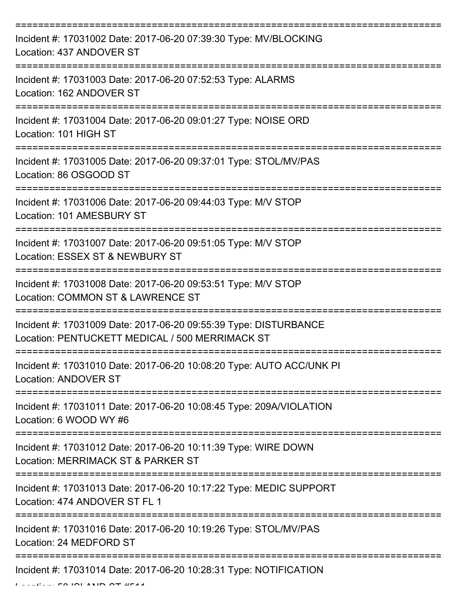| Incident #: 17031002 Date: 2017-06-20 07:39:30 Type: MV/BLOCKING<br>Location: 437 ANDOVER ST                        |
|---------------------------------------------------------------------------------------------------------------------|
| Incident #: 17031003 Date: 2017-06-20 07:52:53 Type: ALARMS<br>Location: 162 ANDOVER ST                             |
| Incident #: 17031004 Date: 2017-06-20 09:01:27 Type: NOISE ORD<br>Location: 101 HIGH ST                             |
| Incident #: 17031005 Date: 2017-06-20 09:37:01 Type: STOL/MV/PAS<br>Location: 86 OSGOOD ST                          |
| Incident #: 17031006 Date: 2017-06-20 09:44:03 Type: M/V STOP<br>Location: 101 AMESBURY ST                          |
| Incident #: 17031007 Date: 2017-06-20 09:51:05 Type: M/V STOP<br>Location: ESSEX ST & NEWBURY ST                    |
| Incident #: 17031008 Date: 2017-06-20 09:53:51 Type: M/V STOP<br>Location: COMMON ST & LAWRENCE ST                  |
| Incident #: 17031009 Date: 2017-06-20 09:55:39 Type: DISTURBANCE<br>Location: PENTUCKETT MEDICAL / 500 MERRIMACK ST |
| Incident #: 17031010 Date: 2017-06-20 10:08:20 Type: AUTO ACC/UNK PI<br><b>Location: ANDOVER ST</b>                 |
| Incident #: 17031011 Date: 2017-06-20 10:08:45 Type: 209A/VIOLATION<br>Location: 6 WOOD WY #6                       |
| Incident #: 17031012 Date: 2017-06-20 10:11:39 Type: WIRE DOWN<br>Location: MERRIMACK ST & PARKER ST                |
| Incident #: 17031013 Date: 2017-06-20 10:17:22 Type: MEDIC SUPPORT<br>Location: 474 ANDOVER ST FL 1                 |
| Incident #: 17031016 Date: 2017-06-20 10:19:26 Type: STOL/MV/PAS<br>Location: 24 MEDFORD ST                         |
| Incident #: 17031014 Date: 2017-06-20 10:28:31 Type: NOTIFICATION                                                   |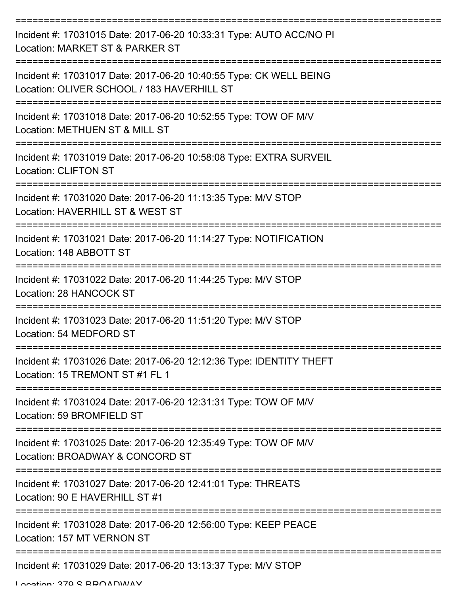| Incident #: 17031015 Date: 2017-06-20 10:33:31 Type: AUTO ACC/NO PI<br>Location: MARKET ST & PARKER ST           |
|------------------------------------------------------------------------------------------------------------------|
| Incident #: 17031017 Date: 2017-06-20 10:40:55 Type: CK WELL BEING<br>Location: OLIVER SCHOOL / 183 HAVERHILL ST |
| Incident #: 17031018 Date: 2017-06-20 10:52:55 Type: TOW OF M/V<br>Location: METHUEN ST & MILL ST                |
| Incident #: 17031019 Date: 2017-06-20 10:58:08 Type: EXTRA SURVEIL<br><b>Location: CLIFTON ST</b>                |
| Incident #: 17031020 Date: 2017-06-20 11:13:35 Type: M/V STOP<br>Location: HAVERHILL ST & WEST ST                |
| Incident #: 17031021 Date: 2017-06-20 11:14:27 Type: NOTIFICATION<br>Location: 148 ABBOTT ST                     |
| Incident #: 17031022 Date: 2017-06-20 11:44:25 Type: M/V STOP<br>Location: 28 HANCOCK ST                         |
| Incident #: 17031023 Date: 2017-06-20 11:51:20 Type: M/V STOP<br>Location: 54 MEDFORD ST                         |
| Incident #: 17031026 Date: 2017-06-20 12:12:36 Type: IDENTITY THEFT<br>Location: 15 TREMONT ST #1 FL 1           |
| Incident #: 17031024 Date: 2017-06-20 12:31:31 Type: TOW OF M/V<br>Location: 59 BROMFIELD ST                     |
| Incident #: 17031025 Date: 2017-06-20 12:35:49 Type: TOW OF M/V<br>Location: BROADWAY & CONCORD ST               |
| Incident #: 17031027 Date: 2017-06-20 12:41:01 Type: THREATS<br>Location: 90 E HAVERHILL ST #1                   |
| Incident #: 17031028 Date: 2017-06-20 12:56:00 Type: KEEP PEACE<br>Location: 157 MT VERNON ST                    |
| Incident #: 17031029 Date: 2017-06-20 13:13:37 Type: M/V STOP                                                    |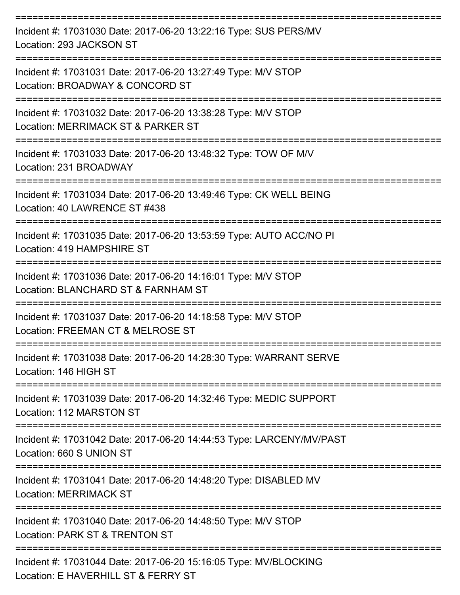| Incident #: 17031030 Date: 2017-06-20 13:22:16 Type: SUS PERS/MV<br>Location: 293 JACKSON ST            |
|---------------------------------------------------------------------------------------------------------|
| Incident #: 17031031 Date: 2017-06-20 13:27:49 Type: M/V STOP<br>Location: BROADWAY & CONCORD ST        |
| Incident #: 17031032 Date: 2017-06-20 13:38:28 Type: M/V STOP<br>Location: MERRIMACK ST & PARKER ST     |
| Incident #: 17031033 Date: 2017-06-20 13:48:32 Type: TOW OF M/V<br>Location: 231 BROADWAY               |
| Incident #: 17031034 Date: 2017-06-20 13:49:46 Type: CK WELL BEING<br>Location: 40 LAWRENCE ST #438     |
| Incident #: 17031035 Date: 2017-06-20 13:53:59 Type: AUTO ACC/NO PI<br>Location: 419 HAMPSHIRE ST       |
| Incident #: 17031036 Date: 2017-06-20 14:16:01 Type: M/V STOP<br>Location: BLANCHARD ST & FARNHAM ST    |
| Incident #: 17031037 Date: 2017-06-20 14:18:58 Type: M/V STOP<br>Location: FREEMAN CT & MELROSE ST      |
| Incident #: 17031038 Date: 2017-06-20 14:28:30 Type: WARRANT SERVE<br>Location: 146 HIGH ST             |
| Incident #: 17031039 Date: 2017-06-20 14:32:46 Type: MEDIC SUPPORT<br>Location: 112 MARSTON ST          |
| Incident #: 17031042 Date: 2017-06-20 14:44:53 Type: LARCENY/MV/PAST<br>Location: 660 S UNION ST        |
| Incident #: 17031041 Date: 2017-06-20 14:48:20 Type: DISABLED MV<br><b>Location: MERRIMACK ST</b>       |
| Incident #: 17031040 Date: 2017-06-20 14:48:50 Type: M/V STOP<br>Location: PARK ST & TRENTON ST         |
| Incident #: 17031044 Date: 2017-06-20 15:16:05 Type: MV/BLOCKING<br>Location: E HAVERHILL ST & FERRY ST |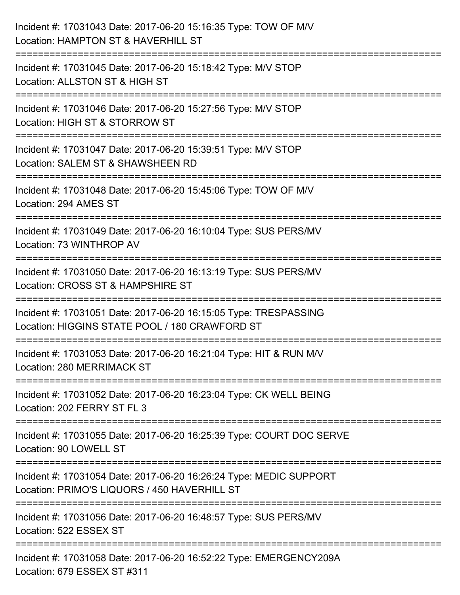| Incident #: 17031043 Date: 2017-06-20 15:16:35 Type: TOW OF M/V<br>Location: HAMPTON ST & HAVERHILL ST                        |
|-------------------------------------------------------------------------------------------------------------------------------|
| ========================<br>Incident #: 17031045 Date: 2017-06-20 15:18:42 Type: M/V STOP<br>Location: ALLSTON ST & HIGH ST   |
| Incident #: 17031046 Date: 2017-06-20 15:27:56 Type: M/V STOP<br>Location: HIGH ST & STORROW ST                               |
| Incident #: 17031047 Date: 2017-06-20 15:39:51 Type: M/V STOP<br>Location: SALEM ST & SHAWSHEEN RD<br>.---------------------- |
| Incident #: 17031048 Date: 2017-06-20 15:45:06 Type: TOW OF M/V<br>Location: 294 AMES ST                                      |
| Incident #: 17031049 Date: 2017-06-20 16:10:04 Type: SUS PERS/MV<br>Location: 73 WINTHROP AV                                  |
| Incident #: 17031050 Date: 2017-06-20 16:13:19 Type: SUS PERS/MV<br>Location: CROSS ST & HAMPSHIRE ST                         |
| Incident #: 17031051 Date: 2017-06-20 16:15:05 Type: TRESPASSING<br>Location: HIGGINS STATE POOL / 180 CRAWFORD ST            |
| Incident #: 17031053 Date: 2017-06-20 16:21:04 Type: HIT & RUN M/V<br>Location: 280 MERRIMACK ST                              |
| Incident #: 17031052 Date: 2017-06-20 16:23:04 Type: CK WELL BEING<br>Location: 202 FERRY ST FL 3                             |
| Incident #: 17031055 Date: 2017-06-20 16:25:39 Type: COURT DOC SERVE<br>Location: 90 LOWELL ST                                |
| Incident #: 17031054 Date: 2017-06-20 16:26:24 Type: MEDIC SUPPORT<br>Location: PRIMO'S LIQUORS / 450 HAVERHILL ST            |
| Incident #: 17031056 Date: 2017-06-20 16:48:57 Type: SUS PERS/MV<br>Location: 522 ESSEX ST                                    |
| Incident #: 17031058 Date: 2017-06-20 16:52:22 Type: EMERGENCY209A<br>Location: 679 ESSEX ST #311                             |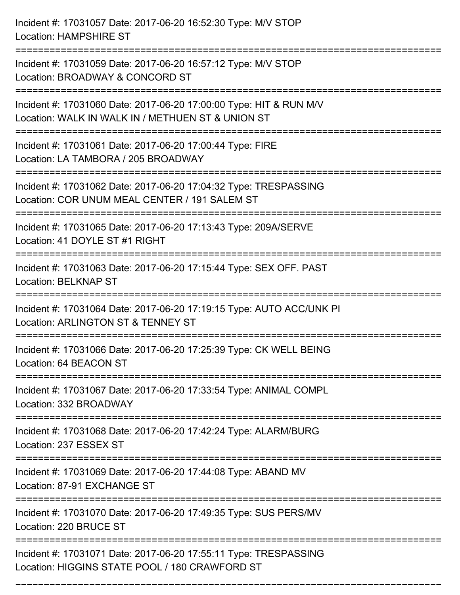Incident #: 17031057 Date: 2017-06-20 16:52:30 Type: M/V STOP Location: HAMPSHIRE ST =========================================================================== Incident #: 17031059 Date: 2017-06-20 16:57:12 Type: M/V STOP Location: BROADWAY & CONCORD ST =========================================================================== Incident #: 17031060 Date: 2017-06-20 17:00:00 Type: HIT & RUN M/V Location: WALK IN WALK IN / METHUEN ST & UNION ST =========================================================================== Incident #: 17031061 Date: 2017-06-20 17:00:44 Type: FIRE Location: LA TAMBORA / 205 BROADWAY =========================================================================== Incident #: 17031062 Date: 2017-06-20 17:04:32 Type: TRESPASSING Location: COR UNUM MEAL CENTER / 191 SALEM ST =========================================================================== Incident #: 17031065 Date: 2017-06-20 17:13:43 Type: 209A/SERVE Location: 41 DOYLE ST #1 RIGHT =========================================================================== Incident #: 17031063 Date: 2017-06-20 17:15:44 Type: SEX OFF. PAST Location: BELKNAP ST =========================================================================== Incident #: 17031064 Date: 2017-06-20 17:19:15 Type: AUTO ACC/UNK PI Location: ARLINGTON ST & TENNEY ST =========================================================================== Incident #: 17031066 Date: 2017-06-20 17:25:39 Type: CK WELL BEING Location: 64 BEACON ST =========================================================================== Incident #: 17031067 Date: 2017-06-20 17:33:54 Type: ANIMAL COMPL Location: 332 BROADWAY =========================================================================== Incident #: 17031068 Date: 2017-06-20 17:42:24 Type: ALARM/BURG Location: 237 ESSEX ST =========================================================================== Incident #: 17031069 Date: 2017-06-20 17:44:08 Type: ABAND MV Location: 87-91 EXCHANGE ST =========================================================================== Incident #: 17031070 Date: 2017-06-20 17:49:35 Type: SUS PERS/MV Location: 220 BRUCE ST =========================================================================== Incident #: 17031071 Date: 2017-06-20 17:55:11 Type: TRESPASSING Location: HIGGINS STATE POOL / 180 CRAWFORD ST

===========================================================================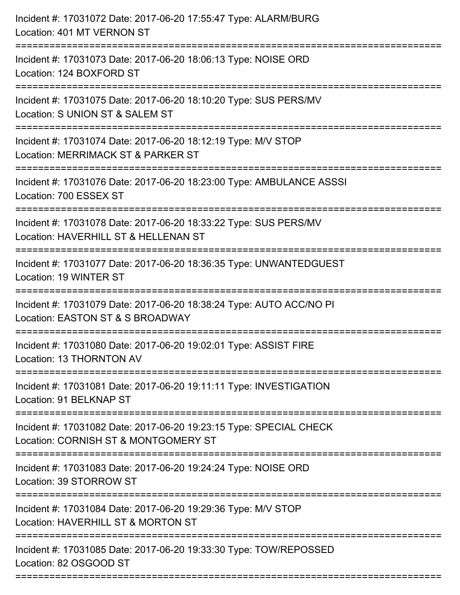| Incident #: 17031072 Date: 2017-06-20 17:55:47 Type: ALARM/BURG<br>Location: 401 MT VERNON ST                                                                                           |
|-----------------------------------------------------------------------------------------------------------------------------------------------------------------------------------------|
| Incident #: 17031073 Date: 2017-06-20 18:06:13 Type: NOISE ORD<br>Location: 124 BOXFORD ST                                                                                              |
| Incident #: 17031075 Date: 2017-06-20 18:10:20 Type: SUS PERS/MV<br>Location: S UNION ST & SALEM ST                                                                                     |
| Incident #: 17031074 Date: 2017-06-20 18:12:19 Type: M/V STOP<br>Location: MERRIMACK ST & PARKER ST                                                                                     |
| Incident #: 17031076 Date: 2017-06-20 18:23:00 Type: AMBULANCE ASSSI<br>Location: 700 ESSEX ST                                                                                          |
| Incident #: 17031078 Date: 2017-06-20 18:33:22 Type: SUS PERS/MV<br>Location: HAVERHILL ST & HELLENAN ST                                                                                |
| Incident #: 17031077 Date: 2017-06-20 18:36:35 Type: UNWANTEDGUEST<br>Location: 19 WINTER ST                                                                                            |
| Incident #: 17031079 Date: 2017-06-20 18:38:24 Type: AUTO ACC/NO PI<br>Location: EASTON ST & S BROADWAY                                                                                 |
| Incident #: 17031080 Date: 2017-06-20 19:02:01 Type: ASSIST FIRE<br>Location: 13 THORNTON AV                                                                                            |
| Incident #: 17031081 Date: 2017-06-20 19:11:11 Type: INVESTIGATION<br>Location: 91 BELKNAP ST                                                                                           |
| Incident #: 17031082 Date: 2017-06-20 19:23:15 Type: SPECIAL CHECK<br>Location: CORNISH ST & MONTGOMERY ST<br>======================================<br>------------------------------- |
| Incident #: 17031083 Date: 2017-06-20 19:24:24 Type: NOISE ORD<br>Location: 39 STORROW ST                                                                                               |
| Incident #: 17031084 Date: 2017-06-20 19:29:36 Type: M/V STOP<br>Location: HAVERHILL ST & MORTON ST                                                                                     |
| Incident #: 17031085 Date: 2017-06-20 19:33:30 Type: TOW/REPOSSED<br>Location: 82 OSGOOD ST                                                                                             |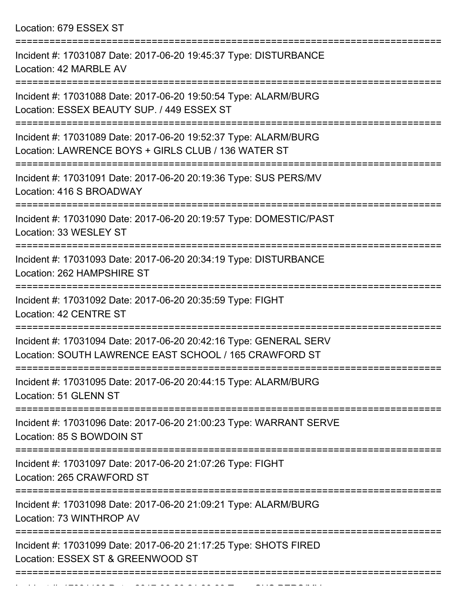Location: 679 ESSEX ST

| Incident #: 17031087 Date: 2017-06-20 19:45:37 Type: DISTURBANCE<br>Location: 42 MARBLE AV                                  |
|-----------------------------------------------------------------------------------------------------------------------------|
| Incident #: 17031088 Date: 2017-06-20 19:50:54 Type: ALARM/BURG<br>Location: ESSEX BEAUTY SUP. / 449 ESSEX ST               |
| Incident #: 17031089 Date: 2017-06-20 19:52:37 Type: ALARM/BURG<br>Location: LAWRENCE BOYS + GIRLS CLUB / 136 WATER ST      |
| Incident #: 17031091 Date: 2017-06-20 20:19:36 Type: SUS PERS/MV<br>Location: 416 S BROADWAY                                |
| Incident #: 17031090 Date: 2017-06-20 20:19:57 Type: DOMESTIC/PAST<br>Location: 33 WESLEY ST                                |
| Incident #: 17031093 Date: 2017-06-20 20:34:19 Type: DISTURBANCE<br>Location: 262 HAMPSHIRE ST                              |
| Incident #: 17031092 Date: 2017-06-20 20:35:59 Type: FIGHT<br>Location: 42 CENTRE ST                                        |
| Incident #: 17031094 Date: 2017-06-20 20:42:16 Type: GENERAL SERV<br>Location: SOUTH LAWRENCE EAST SCHOOL / 165 CRAWFORD ST |
| Incident #: 17031095 Date: 2017-06-20 20:44:15 Type: ALARM/BURG<br>Location: 51 GLENN ST                                    |
| Incident #: 17031096 Date: 2017-06-20 21:00:23 Type: WARRANT SERVE<br>Location: 85 S BOWDOIN ST                             |
| Incident #: 17031097 Date: 2017-06-20 21:07:26 Type: FIGHT<br>Location: 265 CRAWFORD ST                                     |
| Incident #: 17031098 Date: 2017-06-20 21:09:21 Type: ALARM/BURG<br>Location: 73 WINTHROP AV                                 |
| Incident #: 17031099 Date: 2017-06-20 21:17:25 Type: SHOTS FIRED<br>Location: ESSEX ST & GREENWOOD ST                       |
|                                                                                                                             |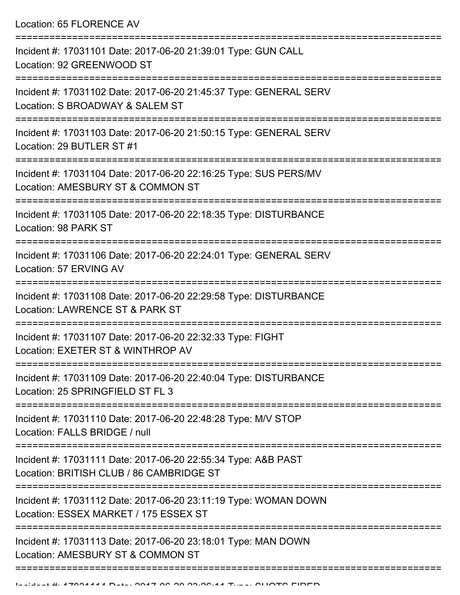Location: 65 FLORENCE AV

| Incident #: 17031101 Date: 2017-06-20 21:39:01 Type: GUN CALL<br>Location: 92 GREENWOOD ST                |
|-----------------------------------------------------------------------------------------------------------|
| Incident #: 17031102 Date: 2017-06-20 21:45:37 Type: GENERAL SERV<br>Location: S BROADWAY & SALEM ST      |
| Incident #: 17031103 Date: 2017-06-20 21:50:15 Type: GENERAL SERV<br>Location: 29 BUTLER ST #1            |
| Incident #: 17031104 Date: 2017-06-20 22:16:25 Type: SUS PERS/MV<br>Location: AMESBURY ST & COMMON ST     |
| Incident #: 17031105 Date: 2017-06-20 22:18:35 Type: DISTURBANCE<br>Location: 98 PARK ST                  |
| Incident #: 17031106 Date: 2017-06-20 22:24:01 Type: GENERAL SERV<br>Location: 57 ERVING AV               |
| Incident #: 17031108 Date: 2017-06-20 22:29:58 Type: DISTURBANCE<br>Location: LAWRENCE ST & PARK ST       |
| Incident #: 17031107 Date: 2017-06-20 22:32:33 Type: FIGHT<br>Location: EXETER ST & WINTHROP AV           |
| Incident #: 17031109 Date: 2017-06-20 22:40:04 Type: DISTURBANCE<br>Location: 25 SPRINGFIELD ST FL 3      |
| Incident #: 17031110 Date: 2017-06-20 22:48:28 Type: M/V STOP<br>Location: FALLS BRIDGE / null            |
| Incident #: 17031111 Date: 2017-06-20 22:55:34 Type: A&B PAST<br>Location: BRITISH CLUB / 86 CAMBRIDGE ST |
| Incident #: 17031112 Date: 2017-06-20 23:11:19 Type: WOMAN DOWN<br>Location: ESSEX MARKET / 175 ESSEX ST  |
| Incident #: 17031113 Date: 2017-06-20 23:18:01 Type: MAN DOWN<br>Location: AMESBURY ST & COMMON ST        |
|                                                                                                           |